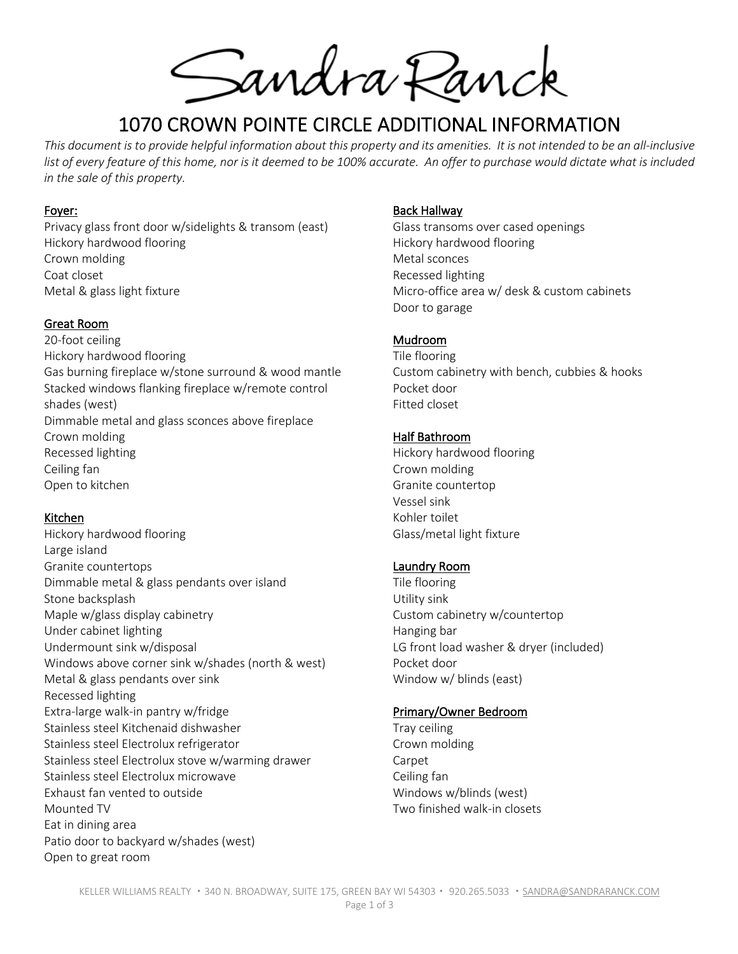Sandra Panck

# 1070 CROWN POINTE CIRCLE ADDITIONAL INFORMATION

*This document is to provide helpful information about this property and its amenities. It is not intended to be an all-inclusive*  list of every feature of this home, nor is it deemed to be 100% accurate. An offer to purchase would dictate what is included *in the sale of this property.*

#### Foyer:

Privacy glass front door w/sidelights & transom (east) Hickory hardwood flooring Crown molding Coat closet Metal & glass light fixture

## Great Room

20-foot ceiling Hickory hardwood flooring Gas burning fireplace w/stone surround & wood mantle Stacked windows flanking fireplace w/remote control shades (west) Dimmable metal and glass sconces above fireplace Crown molding Recessed lighting Ceiling fan Open to kitchen

# Kitchen

Hickory hardwood flooring Large island Granite countertops Dimmable metal & glass pendants over island Stone backsplash Maple w/glass display cabinetry Under cabinet lighting Undermount sink w/disposal Windows above corner sink w/shades (north & west) Metal & glass pendants over sink Recessed lighting Extra-large walk-in pantry w/fridge Stainless steel Kitchenaid dishwasher Stainless steel Electrolux refrigerator Stainless steel Electrolux stove w/warming drawer Stainless steel Electrolux microwave Exhaust fan vented to outside Mounted TV Eat in dining area Patio door to backyard w/shades (west) Open to great room

#### Back Hallway

Glass transoms over cased openings Hickory hardwood flooring Metal sconces Recessed lighting Micro-office area w/ desk & custom cabinets Door to garage

# Mudroom

Tile flooring Custom cabinetry with bench, cubbies & hooks Pocket door Fitted closet

#### Half Bathroom

Hickory hardwood flooring Crown molding Granite countertop Vessel sink Kohler toilet Glass/metal light fixture

# Laundry Room

Tile flooring Utility sink Custom cabinetry w/countertop Hanging bar LG front load washer & dryer (included) Pocket door Window w/ blinds (east)

#### Primary/Owner Bedroom

Tray ceiling Crown molding **Carpet** Ceiling fan Windows w/blinds (west) Two finished walk-in closets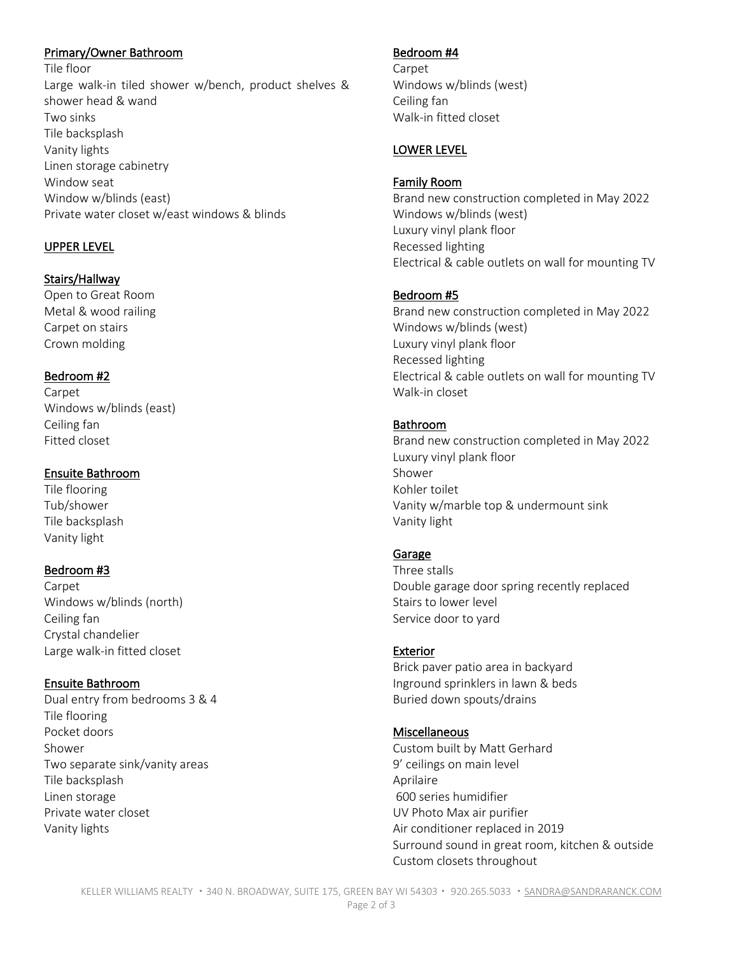## Primary/Owner Bathroom

Tile floor Large walk-in tiled shower w/bench, product shelves & shower head & wand Two sinks Tile backsplash Vanity lights Linen storage cabinetry Window seat Window w/blinds (east) Private water closet w/east windows & blinds

# UPPER LEVEL

## Stairs/Hallway

Open to Great Room Metal & wood railing Carpet on stairs Crown molding

#### Bedroom #2

Carpet Windows w/blinds (east) Ceiling fan Fitted closet

## Ensuite Bathroom

Tile flooring Tub/shower Tile backsplash Vanity light

# Bedroom #3

Carpet Windows w/blinds (north) Ceiling fan Crystal chandelier Large walk-in fitted closet

# Ensuite Bathroom

Dual entry from bedrooms 3 & 4 Tile flooring Pocket doors Shower Two separate sink/vanity areas Tile backsplash Linen storage Private water closet Vanity lights

## Bedroom #4

Carpet Windows w/blinds (west) Ceiling fan Walk-in fitted closet

## LOWER LEVEL

#### Family Room

Brand new construction completed in May 2022 Windows w/blinds (west) Luxury vinyl plank floor Recessed lighting Electrical & cable outlets on wall for mounting TV

## Bedroom #5

Brand new construction completed in May 2022 Windows w/blinds (west) Luxury vinyl plank floor Recessed lighting Electrical & cable outlets on wall for mounting TV Walk-in closet

# Bathroom

Brand new construction completed in May 2022 Luxury vinyl plank floor Shower Kohler toilet Vanity w/marble top & undermount sink Vanity light

#### Garage

Three stalls Double garage door spring recently replaced Stairs to lower level Service door to yard

#### Exterior

Brick paver patio area in backyard Inground sprinklers in lawn & beds Buried down spouts/drains

#### Miscellaneous

Custom built by Matt Gerhard 9' ceilings on main level Aprilaire 600 series humidifier UV Photo Max air purifier Air conditioner replaced in 2019 Surround sound in great room, kitchen & outside Custom closets throughout